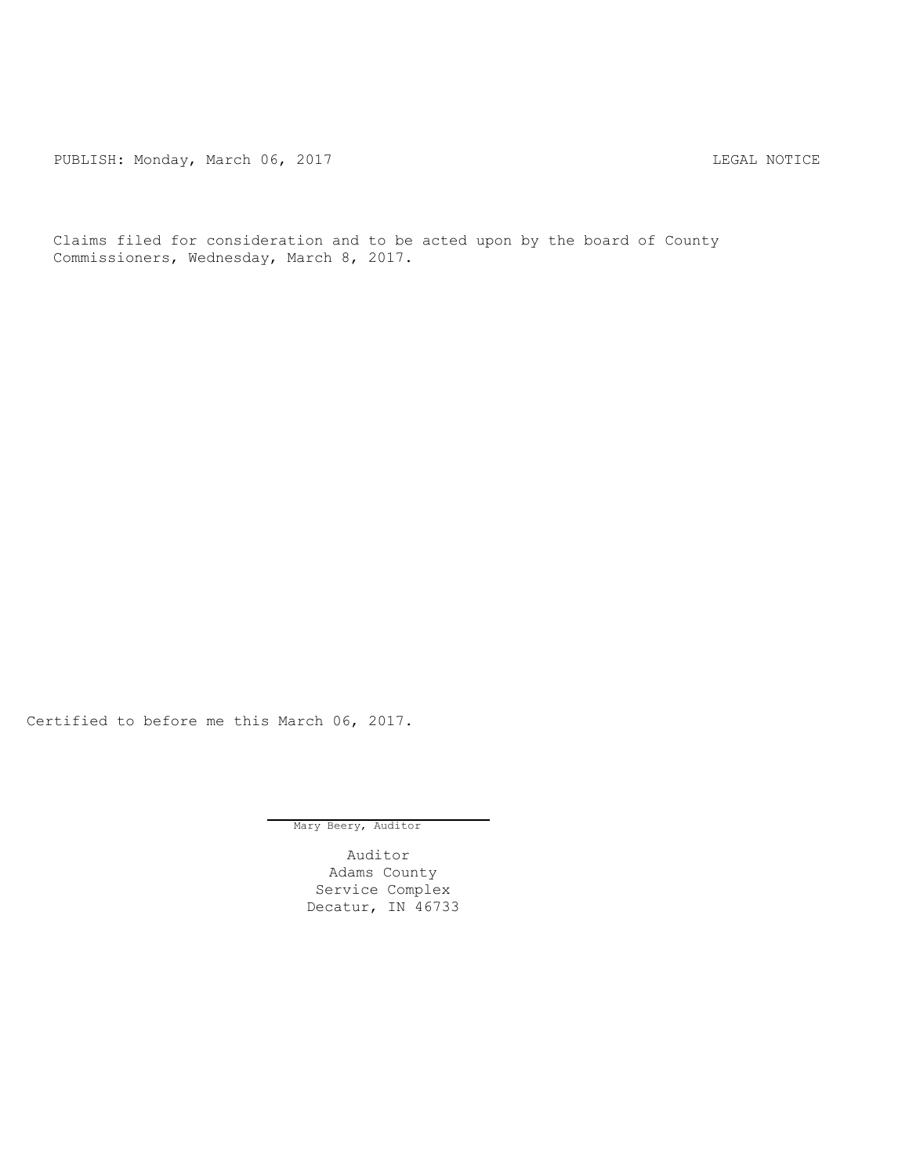PUBLISH: Monday, March 06, 2017 CHANGER AND THE MOTICE

Claims filed for consideration and to be acted upon by the board of County Commissioners, Wednesday, March 8, 2017.

Certified to before me this March 06, 2017.

Mary Beery, Auditor

Auditor Adams County Service Complex Decatur, IN 46733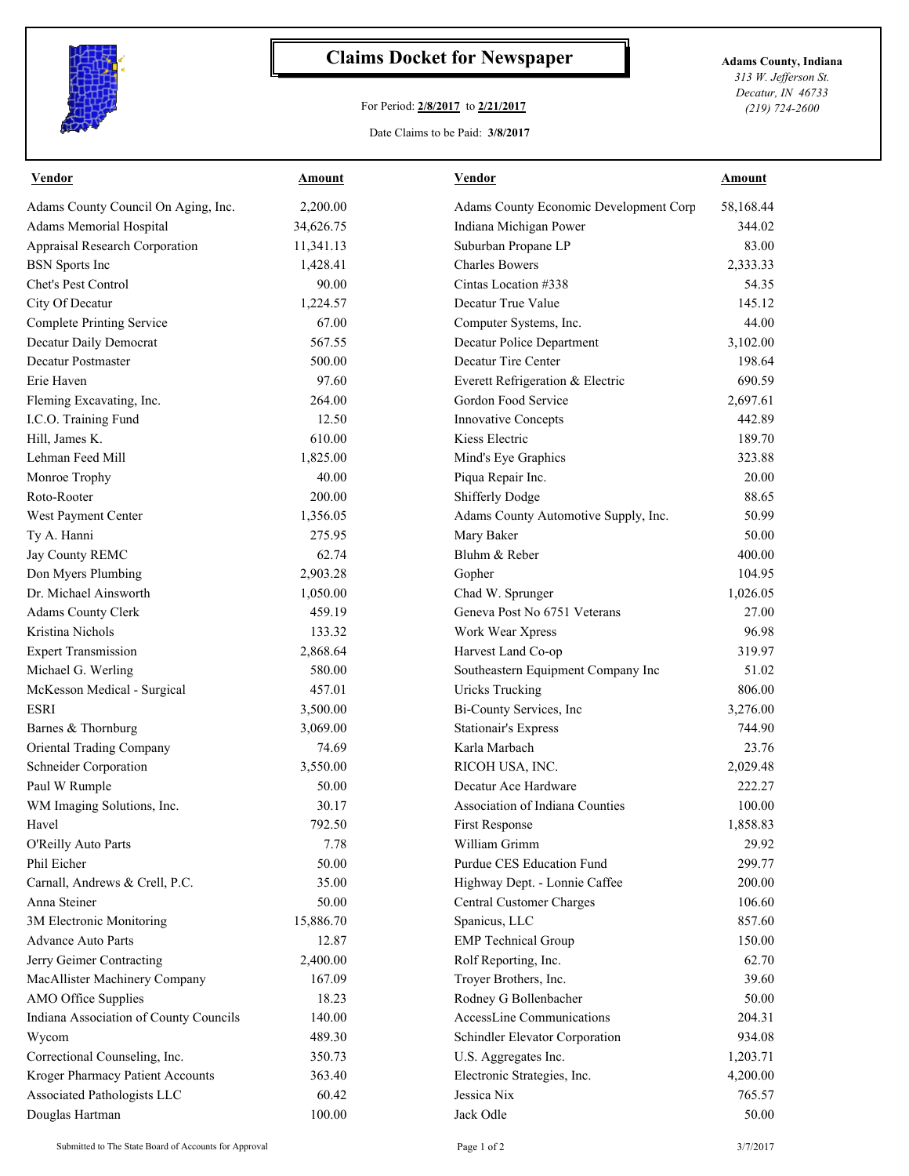

## **Claims Docket for Newspaper Adams County, Indiana**

## For Period: **2/8/2017** to **2/21/2017**

*313 W. Jefferson St. Decatur, IN 46733 (219) 724-2600*

Date Claims to be Paid: **3/8/2017**

| <b>Vendor</b>                          | Amount    | <b>Vendor</b>                          | Amount    |
|----------------------------------------|-----------|----------------------------------------|-----------|
| Adams County Council On Aging, Inc.    | 2,200.00  | Adams County Economic Development Corp | 58,168.44 |
| Adams Memorial Hospital                | 34,626.75 | Indiana Michigan Power                 | 344.02    |
| Appraisal Research Corporation         | 11,341.13 | Suburban Propane LP                    | 83.00     |
| <b>BSN</b> Sports Inc                  | 1,428.41  | <b>Charles Bowers</b>                  | 2,333.33  |
| Chet's Pest Control                    | 90.00     | Cintas Location #338                   | 54.35     |
| City Of Decatur                        | 1,224.57  | Decatur True Value                     | 145.12    |
| <b>Complete Printing Service</b>       | 67.00     | Computer Systems, Inc.                 | 44.00     |
| Decatur Daily Democrat                 | 567.55    | Decatur Police Department              | 3,102.00  |
| Decatur Postmaster                     | 500.00    | Decatur Tire Center                    | 198.64    |
| Erie Haven                             | 97.60     | Everett Refrigeration & Electric       | 690.59    |
| Fleming Excavating, Inc.               | 264.00    | Gordon Food Service                    | 2,697.61  |
| I.C.O. Training Fund                   | 12.50     | Innovative Concepts                    | 442.89    |
| Hill, James K.                         | 610.00    | Kiess Electric                         | 189.70    |
| Lehman Feed Mill                       | 1.825.00  | Mind's Eye Graphics                    | 323.88    |
| Monroe Trophy                          | 40.00     | Piqua Repair Inc.                      | 20.00     |
| Roto-Rooter                            | 200.00    | Shifferly Dodge                        | 88.65     |
| West Payment Center                    | 1,356.05  | Adams County Automotive Supply, Inc.   | 50.99     |
| Ty A. Hanni                            | 275.95    | Mary Baker                             | 50.00     |
| Jay County REMC                        | 62.74     | Bluhm & Reber                          | 400.00    |
| Don Myers Plumbing                     | 2,903.28  | Gopher                                 | 104.95    |
| Dr. Michael Ainsworth                  | 1,050.00  | Chad W. Sprunger                       | 1,026.05  |
| Adams County Clerk                     | 459.19    | Geneva Post No 6751 Veterans           | 27.00     |
| Kristina Nichols                       | 133.32    | Work Wear Xpress                       | 96.98     |
| <b>Expert Transmission</b>             | 2,868.64  | Harvest Land Co-op                     | 319.97    |
| Michael G. Werling                     | 580.00    | Southeastern Equipment Company Inc     | 51.02     |
| McKesson Medical - Surgical            | 457.01    | <b>Uricks Trucking</b>                 | 806.00    |
| <b>ESRI</b>                            | 3,500.00  | Bi-County Services, Inc                | 3,276.00  |
| Barnes & Thornburg                     | 3,069.00  | <b>Stationair's Express</b>            | 744.90    |
| <b>Oriental Trading Company</b>        | 74.69     | Karla Marbach                          | 23.76     |
| Schneider Corporation                  | 3,550.00  | RICOH USA, INC.                        | 2,029.48  |
| Paul W Rumple                          | 50.00     | Decatur Ace Hardware                   | 222.27    |
| WM Imaging Solutions, Inc.             | 30.17     | Association of Indiana Counties        | 100.00    |
| Havel                                  | 792.50    | First Response                         | 1,858.83  |
| O'Reilly Auto Parts                    | 7.78      | William Grimm                          | 29.92     |
| Phil Eicher                            | 50.00     | Purdue CES Education Fund              | 299.77    |
| Carnall, Andrews & Crell, P.C.         | 35.00     | Highway Dept. - Lonnie Caffee          | 200.00    |
| Anna Steiner                           | 50.00     | <b>Central Customer Charges</b>        | 106.60    |
| 3M Electronic Monitoring               | 15,886.70 | Spanicus, LLC                          | 857.60    |
| <b>Advance Auto Parts</b>              | 12.87     | <b>EMP</b> Technical Group             | 150.00    |
| Jerry Geimer Contracting               | 2,400.00  | Rolf Reporting, Inc.                   | 62.70     |
| MacAllister Machinery Company          | 167.09    | Troyer Brothers, Inc.                  | 39.60     |
| AMO Office Supplies                    | 18.23     | Rodney G Bollenbacher                  | 50.00     |
| Indiana Association of County Councils | 140.00    | AccessLine Communications              | 204.31    |
| Wycom                                  | 489.30    | Schindler Elevator Corporation         | 934.08    |
| Correctional Counseling, Inc.          | 350.73    | U.S. Aggregates Inc.                   | 1,203.71  |
| Kroger Pharmacy Patient Accounts       | 363.40    | Electronic Strategies, Inc.            | 4,200.00  |
| Associated Pathologists LLC            | 60.42     | Jessica Nix                            | 765.57    |
| Douglas Hartman                        | 100.00    | Jack Odle                              | 50.00     |